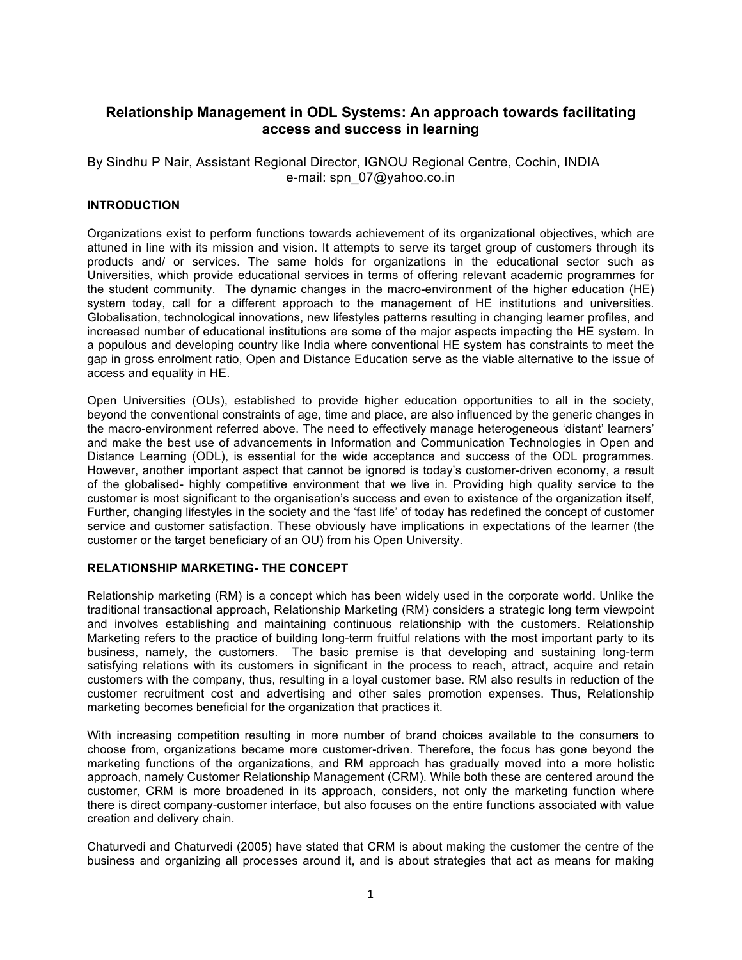# **Relationship Management in ODL Systems: An approach towards facilitating access and success in learning**

By Sindhu P Nair, Assistant Regional Director, IGNOU Regional Centre, Cochin, INDIA e-mail: spn\_07@yahoo.co.in

## **INTRODUCTION**

Organizations exist to perform functions towards achievement of its organizational objectives, which are attuned in line with its mission and vision. It attempts to serve its target group of customers through its products and/ or services. The same holds for organizations in the educational sector such as Universities, which provide educational services in terms of offering relevant academic programmes for the student community. The dynamic changes in the macro-environment of the higher education (HE) system today, call for a different approach to the management of HE institutions and universities. Globalisation, technological innovations, new lifestyles patterns resulting in changing learner profiles, and increased number of educational institutions are some of the major aspects impacting the HE system. In a populous and developing country like India where conventional HE system has constraints to meet the gap in gross enrolment ratio, Open and Distance Education serve as the viable alternative to the issue of access and equality in HE.

Open Universities (OUs), established to provide higher education opportunities to all in the society, beyond the conventional constraints of age, time and place, are also influenced by the generic changes in the macro-environment referred above. The need to effectively manage heterogeneous 'distant' learners' and make the best use of advancements in Information and Communication Technologies in Open and Distance Learning (ODL), is essential for the wide acceptance and success of the ODL programmes. However, another important aspect that cannot be ignored is today's customer-driven economy, a result of the globalised- highly competitive environment that we live in. Providing high quality service to the customer is most significant to the organisation's success and even to existence of the organization itself, Further, changing lifestyles in the society and the 'fast life' of today has redefined the concept of customer service and customer satisfaction. These obviously have implications in expectations of the learner (the customer or the target beneficiary of an OU) from his Open University.

# **RELATIONSHIP MARKETING- THE CONCEPT**

Relationship marketing (RM) is a concept which has been widely used in the corporate world. Unlike the traditional transactional approach, Relationship Marketing (RM) considers a strategic long term viewpoint and involves establishing and maintaining continuous relationship with the customers. Relationship Marketing refers to the practice of building long-term fruitful relations with the most important party to its business, namely, the customers. The basic premise is that developing and sustaining long-term satisfying relations with its customers in significant in the process to reach, attract, acquire and retain customers with the company, thus, resulting in a loyal customer base. RM also results in reduction of the customer recruitment cost and advertising and other sales promotion expenses. Thus, Relationship marketing becomes beneficial for the organization that practices it.

With increasing competition resulting in more number of brand choices available to the consumers to choose from, organizations became more customer-driven. Therefore, the focus has gone beyond the marketing functions of the organizations, and RM approach has gradually moved into a more holistic approach, namely Customer Relationship Management (CRM). While both these are centered around the customer, CRM is more broadened in its approach, considers, not only the marketing function where there is direct company-customer interface, but also focuses on the entire functions associated with value creation and delivery chain.

Chaturvedi and Chaturvedi (2005) have stated that CRM is about making the customer the centre of the business and organizing all processes around it, and is about strategies that act as means for making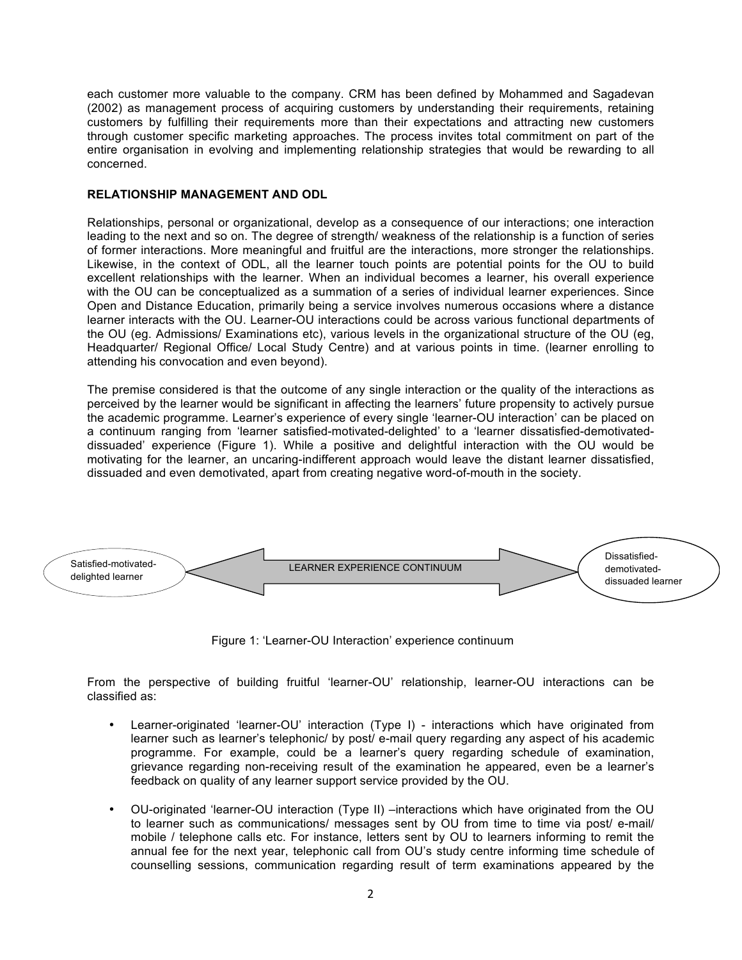each customer more valuable to the company. CRM has been defined by Mohammed and Sagadevan (2002) as management process of acquiring customers by understanding their requirements, retaining customers by fulfilling their requirements more than their expectations and attracting new customers through customer specific marketing approaches. The process invites total commitment on part of the entire organisation in evolving and implementing relationship strategies that would be rewarding to all concerned.

#### **RELATIONSHIP MANAGEMENT AND ODL**

Relationships, personal or organizational, develop as a consequence of our interactions; one interaction leading to the next and so on. The degree of strength/ weakness of the relationship is a function of series of former interactions. More meaningful and fruitful are the interactions, more stronger the relationships. Likewise, in the context of ODL, all the learner touch points are potential points for the OU to build excellent relationships with the learner. When an individual becomes a learner, his overall experience with the OU can be conceptualized as a summation of a series of individual learner experiences. Since Open and Distance Education, primarily being a service involves numerous occasions where a distance learner interacts with the OU. Learner-OU interactions could be across various functional departments of the OU (eg. Admissions/ Examinations etc), various levels in the organizational structure of the OU (eg, Headquarter/ Regional Office/ Local Study Centre) and at various points in time. (learner enrolling to attending his convocation and even beyond).

The premise considered is that the outcome of any single interaction or the quality of the interactions as perceived by the learner would be significant in affecting the learners' future propensity to actively pursue the academic programme. Learner's experience of every single 'learner-OU interaction' can be placed on a continuum ranging from 'learner satisfied-motivated-delighted' to a 'learner dissatisfied-demotivateddissuaded' experience (Figure 1). While a positive and delightful interaction with the OU would be motivating for the learner, an uncaring-indifferent approach would leave the distant learner dissatisfied, dissuaded and even demotivated, apart from creating negative word-of-mouth in the society.



Figure 1: 'Learner-OU Interaction' experience continuum

From the perspective of building fruitful 'learner-OU' relationship, learner-OU interactions can be classified as:

- Learner-originated 'learner-OU' interaction (Type I) interactions which have originated from learner such as learner's telephonic/ by post/ e-mail query regarding any aspect of his academic programme. For example, could be a learner's query regarding schedule of examination, grievance regarding non-receiving result of the examination he appeared, even be a learner's feedback on quality of any learner support service provided by the OU.
- OU-originated 'learner-OU interaction (Type II) –interactions which have originated from the OU to learner such as communications/ messages sent by OU from time to time via post/ e-mail/ mobile / telephone calls etc. For instance, letters sent by OU to learners informing to remit the annual fee for the next year, telephonic call from OU's study centre informing time schedule of counselling sessions, communication regarding result of term examinations appeared by the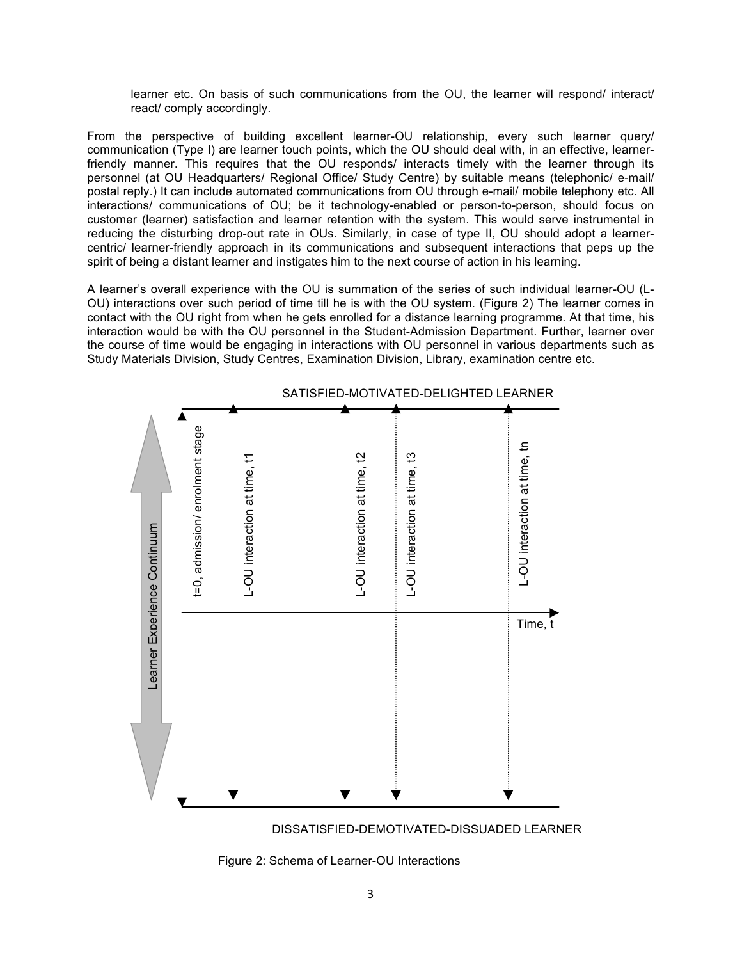learner etc. On basis of such communications from the OU, the learner will respond/ interact/ react/ comply accordingly.

From the perspective of building excellent learner-OU relationship, every such learner query/ communication (Type I) are learner touch points, which the OU should deal with, in an effective, learnerfriendly manner. This requires that the OU responds/ interacts timely with the learner through its personnel (at OU Headquarters/ Regional Office/ Study Centre) by suitable means (telephonic/ e-mail/ postal reply.) It can include automated communications from OU through e-mail/ mobile telephony etc. All interactions/ communications of OU; be it technology-enabled or person-to-person, should focus on customer (learner) satisfaction and learner retention with the system. This would serve instrumental in reducing the disturbing drop-out rate in OUs. Similarly, in case of type II, OU should adopt a learnercentric/ learner-friendly approach in its communications and subsequent interactions that peps up the spirit of being a distant learner and instigates him to the next course of action in his learning.

A learner's overall experience with the OU is summation of the series of such individual learner-OU (L-OU) interactions over such period of time till he is with the OU system. (Figure 2) The learner comes in contact with the OU right from when he gets enrolled for a distance learning programme. At that time, his interaction would be with the OU personnel in the Student-Admission Department. Further, learner over the course of time would be engaging in interactions with OU personnel in various departments such as Study Materials Division, Study Centres, Examination Division, Library, examination centre etc.





Figure 2: Schema of Learner-OU Interactions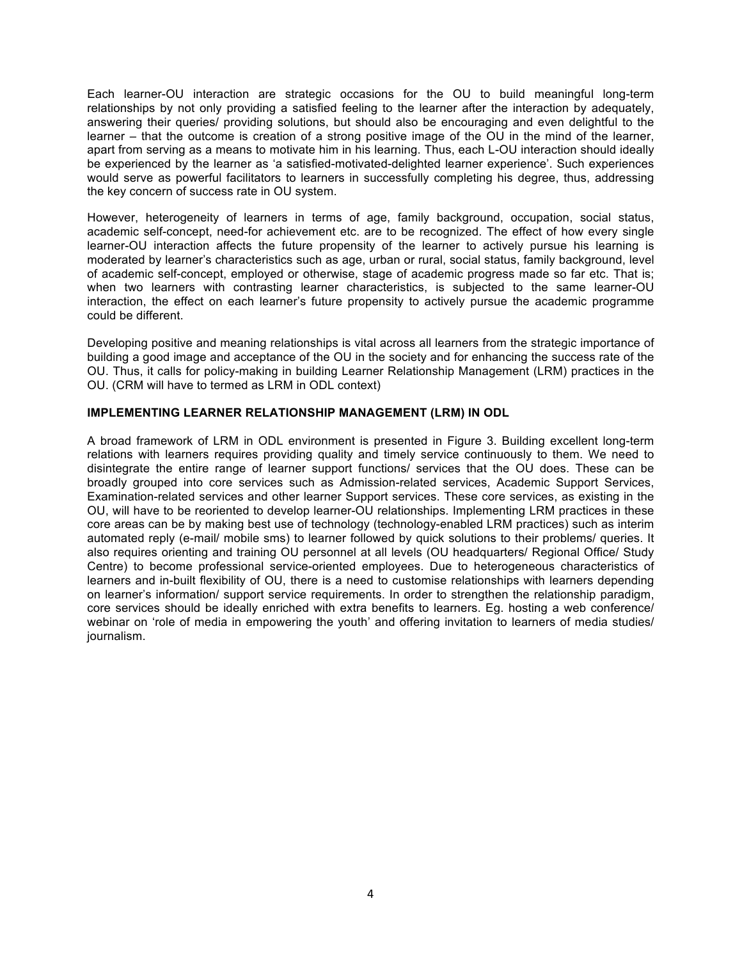Each learner-OU interaction are strategic occasions for the OU to build meaningful long-term relationships by not only providing a satisfied feeling to the learner after the interaction by adequately, answering their queries/ providing solutions, but should also be encouraging and even delightful to the learner – that the outcome is creation of a strong positive image of the OU in the mind of the learner, apart from serving as a means to motivate him in his learning. Thus, each L-OU interaction should ideally be experienced by the learner as 'a satisfied-motivated-delighted learner experience'. Such experiences would serve as powerful facilitators to learners in successfully completing his degree, thus, addressing the key concern of success rate in OU system.

However, heterogeneity of learners in terms of age, family background, occupation, social status, academic self-concept, need-for achievement etc. are to be recognized. The effect of how every single learner-OU interaction affects the future propensity of the learner to actively pursue his learning is moderated by learner's characteristics such as age, urban or rural, social status, family background, level of academic self-concept, employed or otherwise, stage of academic progress made so far etc. That is; when two learners with contrasting learner characteristics, is subjected to the same learner-OU interaction, the effect on each learner's future propensity to actively pursue the academic programme could be different.

Developing positive and meaning relationships is vital across all learners from the strategic importance of building a good image and acceptance of the OU in the society and for enhancing the success rate of the OU. Thus, it calls for policy-making in building Learner Relationship Management (LRM) practices in the OU. (CRM will have to termed as LRM in ODL context)

#### **IMPLEMENTING LEARNER RELATIONSHIP MANAGEMENT (LRM) IN ODL**

A broad framework of LRM in ODL environment is presented in Figure 3. Building excellent long-term relations with learners requires providing quality and timely service continuously to them. We need to disintegrate the entire range of learner support functions/ services that the OU does. These can be broadly grouped into core services such as Admission-related services, Academic Support Services, Examination-related services and other learner Support services. These core services, as existing in the OU, will have to be reoriented to develop learner-OU relationships. Implementing LRM practices in these core areas can be by making best use of technology (technology-enabled LRM practices) such as interim automated reply (e-mail/ mobile sms) to learner followed by quick solutions to their problems/ queries. It also requires orienting and training OU personnel at all levels (OU headquarters/ Regional Office/ Study Centre) to become professional service-oriented employees. Due to heterogeneous characteristics of learners and in-built flexibility of OU, there is a need to customise relationships with learners depending on learner's information/ support service requirements. In order to strengthen the relationship paradigm, core services should be ideally enriched with extra benefits to learners. Eg. hosting a web conference/ webinar on 'role of media in empowering the youth' and offering invitation to learners of media studies/ journalism.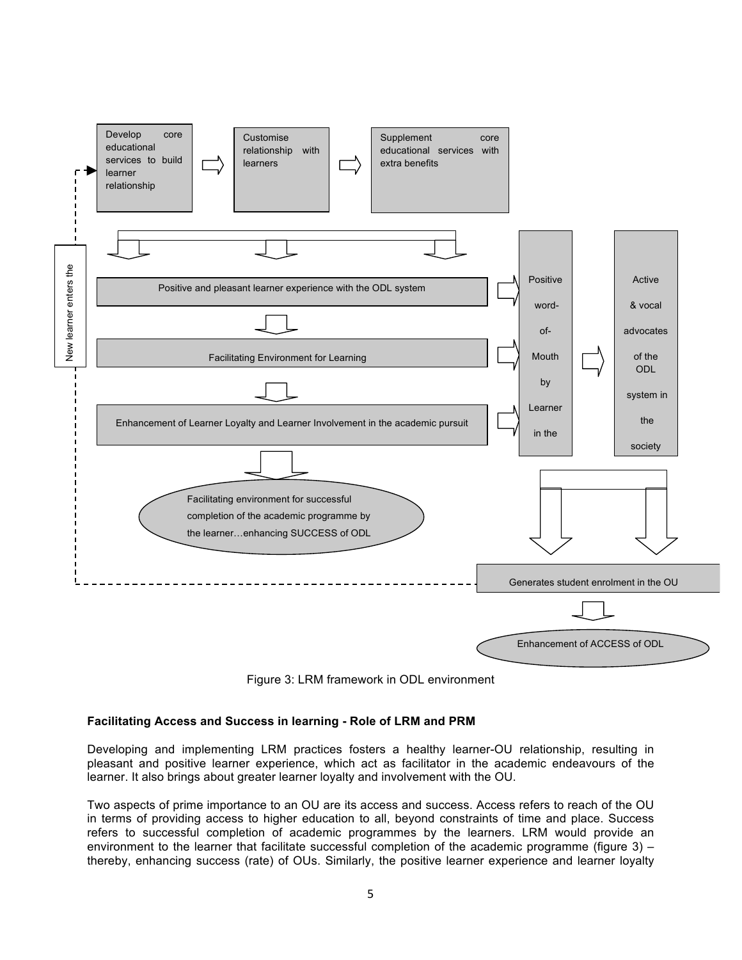

Figure 3: LRM framework in ODL environment

#### **Facilitating Access and Success in learning - Role of LRM and PRM**

Developing and implementing LRM practices fosters a healthy learner-OU relationship, resulting in pleasant and positive learner experience, which act as facilitator in the academic endeavours of the learner. It also brings about greater learner loyalty and involvement with the OU.

Two aspects of prime importance to an OU are its access and success. Access refers to reach of the OU in terms of providing access to higher education to all, beyond constraints of time and place. Success refers to successful completion of academic programmes by the learners. LRM would provide an environment to the learner that facilitate successful completion of the academic programme (figure 3) – thereby, enhancing success (rate) of OUs. Similarly, the positive learner experience and learner loyalty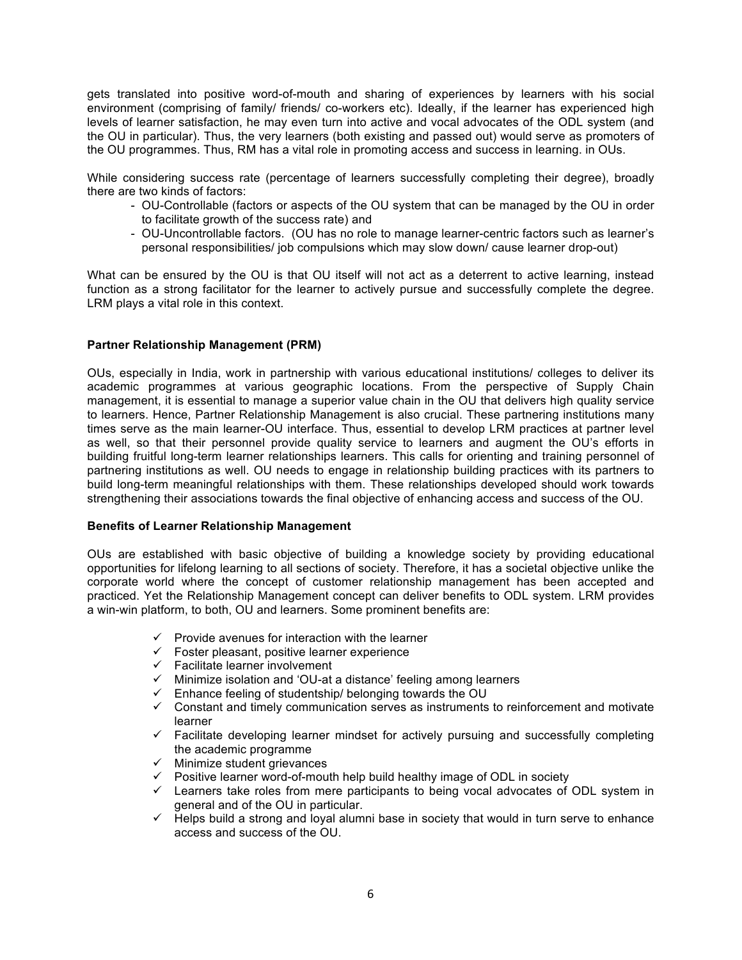gets translated into positive word-of-mouth and sharing of experiences by learners with his social environment (comprising of family/ friends/ co-workers etc). Ideally, if the learner has experienced high levels of learner satisfaction, he may even turn into active and vocal advocates of the ODL system (and the OU in particular). Thus, the very learners (both existing and passed out) would serve as promoters of the OU programmes. Thus, RM has a vital role in promoting access and success in learning. in OUs.

While considering success rate (percentage of learners successfully completing their degree), broadly there are two kinds of factors:

- OU-Controllable (factors or aspects of the OU system that can be managed by the OU in order to facilitate growth of the success rate) and
- OU-Uncontrollable factors. (OU has no role to manage learner-centric factors such as learner's personal responsibilities/ job compulsions which may slow down/ cause learner drop-out)

What can be ensured by the OU is that OU itself will not act as a deterrent to active learning, instead function as a strong facilitator for the learner to actively pursue and successfully complete the degree. LRM plays a vital role in this context.

#### **Partner Relationship Management (PRM)**

OUs, especially in India, work in partnership with various educational institutions/ colleges to deliver its academic programmes at various geographic locations. From the perspective of Supply Chain management, it is essential to manage a superior value chain in the OU that delivers high quality service to learners. Hence, Partner Relationship Management is also crucial. These partnering institutions many times serve as the main learner-OU interface. Thus, essential to develop LRM practices at partner level as well, so that their personnel provide quality service to learners and augment the OU's efforts in building fruitful long-term learner relationships learners. This calls for orienting and training personnel of partnering institutions as well. OU needs to engage in relationship building practices with its partners to build long-term meaningful relationships with them. These relationships developed should work towards strengthening their associations towards the final objective of enhancing access and success of the OU.

#### **Benefits of Learner Relationship Management**

OUs are established with basic objective of building a knowledge society by providing educational opportunities for lifelong learning to all sections of society. Therefore, it has a societal objective unlike the corporate world where the concept of customer relationship management has been accepted and practiced. Yet the Relationship Management concept can deliver benefits to ODL system. LRM provides a win-win platform, to both, OU and learners. Some prominent benefits are:

- $\checkmark$  Provide avenues for interaction with the learner
- $\checkmark$  Foster pleasant, positive learner experience
- $\checkmark$  Facilitate learner involvement
- $\checkmark$  Minimize isolation and 'OU-at a distance' feeling among learners
- $\checkmark$  Enhance feeling of studentship/ belonging towards the OU
- $\checkmark$  Constant and timely communication serves as instruments to reinforcement and motivate learner
- $\checkmark$  Facilitate developing learner mindset for actively pursuing and successfully completing the academic programme
- $\times$  Minimize student grievances
- $\checkmark$  Positive learner word-of-mouth help build healthy image of ODL in society
- $\checkmark$  Learners take roles from mere participants to being vocal advocates of ODL system in general and of the OU in particular.
- $\checkmark$  Helps build a strong and loyal alumni base in society that would in turn serve to enhance access and success of the OU.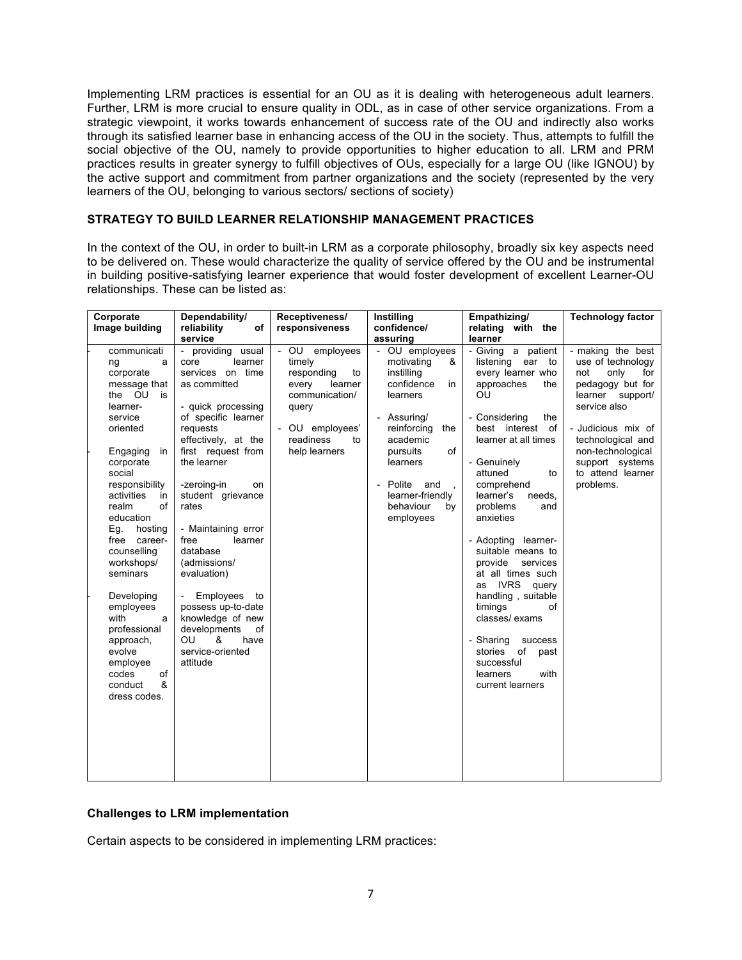Implementing LRM practices is essential for an OU as it is dealing with heterogeneous adult learners. Further, LRM is more crucial to ensure quality in ODL, as in case of other service organizations. From a strategic viewpoint, it works towards enhancement of success rate of the OU and indirectly also works through its satisfied learner base in enhancing access of the OU in the society. Thus, attempts to fulfill the social objective of the OU, namely to provide opportunities to higher education to all. LRM and PRM practices results in greater synergy to fulfill objectives of OUs, especially for a large OU (like IGNOU) by the active support and commitment from partner organizations and the society (represented by the very learners of the OU, belonging to various sectors/ sections of society)

## **STRATEGY TO BUILD LEARNER RELATIONSHIP MANAGEMENT PRACTICES**

In the context of the OU, in order to built-in LRM as a corporate philosophy, broadly six key aspects need to be delivered on. These would characterize the quality of service offered by the OU and be instrumental in building positive-satisfying learner experience that would foster development of excellent Learner-OU relationships. These can be listed as:

| Corporate                                                                                                                                                                                                                                                                                                                                                                                                                              | Dependability/                                                                                                                                                                                                                                                                                                                                                                                                                                                                                                     | Receptiveness/                                                                                                                                     | Instilling                                                                                                                                                                                                                                                              | Empathizing/                                                                                                                                                                                                                                                                                                                                                                                                                                                                                                                                                   | <b>Technology factor</b>                                                                                                                                                                                                                  |
|----------------------------------------------------------------------------------------------------------------------------------------------------------------------------------------------------------------------------------------------------------------------------------------------------------------------------------------------------------------------------------------------------------------------------------------|--------------------------------------------------------------------------------------------------------------------------------------------------------------------------------------------------------------------------------------------------------------------------------------------------------------------------------------------------------------------------------------------------------------------------------------------------------------------------------------------------------------------|----------------------------------------------------------------------------------------------------------------------------------------------------|-------------------------------------------------------------------------------------------------------------------------------------------------------------------------------------------------------------------------------------------------------------------------|----------------------------------------------------------------------------------------------------------------------------------------------------------------------------------------------------------------------------------------------------------------------------------------------------------------------------------------------------------------------------------------------------------------------------------------------------------------------------------------------------------------------------------------------------------------|-------------------------------------------------------------------------------------------------------------------------------------------------------------------------------------------------------------------------------------------|
| Image building                                                                                                                                                                                                                                                                                                                                                                                                                         | reliability<br>of                                                                                                                                                                                                                                                                                                                                                                                                                                                                                                  | responsiveness                                                                                                                                     | confidence/                                                                                                                                                                                                                                                             | relating with the                                                                                                                                                                                                                                                                                                                                                                                                                                                                                                                                              |                                                                                                                                                                                                                                           |
| communicati<br>ng<br>a<br>corporate<br>message that<br>the OU<br>is<br>learner-<br>service<br>oriented<br>Engaging<br>in<br>corporate<br>social<br>responsibility<br>activities<br>in<br>realm<br>οf<br>education<br>Eg.<br>hosting<br>free career-<br>counselling<br>workshops/<br>seminars<br>Developing<br>employees<br>with<br>a<br>professional<br>approach,<br>evolve<br>employee<br>codes<br>of<br>&<br>conduct<br>dress codes. | service<br>- providing usual<br>learner<br>core<br>services on time<br>as committed<br>- quick processing<br>of specific learner<br>requests<br>effectively, at the<br>first request from<br>the learner<br>-zeroing-in<br>on<br>student grievance<br>rates<br>- Maintaining error<br>free<br>learner<br>database<br>(admissions/<br>evaluation)<br>Employees<br>to<br>$\overline{\phantom{a}}$<br>possess up-to-date<br>knowledge of new<br>of<br>developments<br>OU<br>&<br>have<br>service-oriented<br>attitude | - OU employees<br>timely<br>responding<br>to<br>every<br>learner<br>communication/<br>query<br>- OU employees'<br>readiness<br>to<br>help learners | assuring<br>- OU employees<br>&<br>motivating<br>instilling<br>confidence<br>in.<br>learners<br>Assuring/<br>reinforcing<br>the<br>academic<br>pursuits<br>of<br>learners<br>Polite and<br>$\overline{\phantom{a}}$<br>learner-friendly<br>behaviour<br>by<br>employees | learner<br>- Giving a patient<br>listening<br>ear to<br>every learner who<br>approaches<br>the<br>OU<br>- Considering<br>the<br>best interest<br>of<br>learner at all times<br>- Genuinely<br>attuned<br>to<br>comprehend<br>learner's<br>needs,<br>problems<br>and<br>anxieties<br>learner-<br>- Adopting<br>suitable means to<br>provide<br>services<br>at all times such<br>IVRS query<br>as<br>handling, suitable<br>timings<br>of<br>classes/exams<br>- Sharing<br>success<br>stories<br>of<br>past<br>successful<br>learners<br>with<br>current learners | - making the best<br>use of technology<br>only<br>not<br>for<br>pedagogy but for<br>learner support/<br>service also<br>- Judicious mix of<br>technological and<br>non-technological<br>support systems<br>to attend learner<br>problems. |
|                                                                                                                                                                                                                                                                                                                                                                                                                                        |                                                                                                                                                                                                                                                                                                                                                                                                                                                                                                                    |                                                                                                                                                    |                                                                                                                                                                                                                                                                         |                                                                                                                                                                                                                                                                                                                                                                                                                                                                                                                                                                |                                                                                                                                                                                                                                           |

#### **Challenges to LRM implementation**

Certain aspects to be considered in implementing LRM practices: